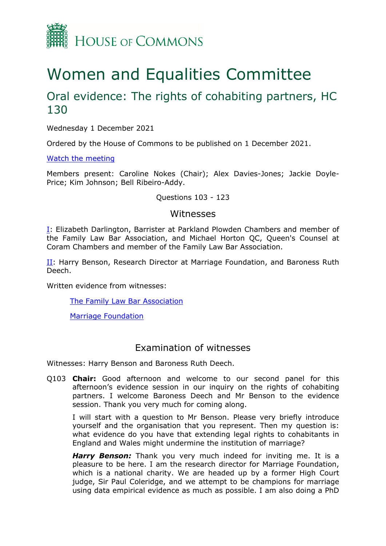

# Women and Equalities Committee

## Oral evidence: The rights of cohabiting partners, HC 130

Wednesday 1 December 2021

Ordered by the House of Commons to be published on 1 December 2021.

[Watch](https://www.parliamentlive.tv/Event/Index/097faeae-599e-4b10-aa64-c81a425e8383) [the](https://www.parliamentlive.tv/Event/Index/097faeae-599e-4b10-aa64-c81a425e8383) [meeting](https://www.parliamentlive.tv/Event/Index/097faeae-599e-4b10-aa64-c81a425e8383)

Members present: Caroline Nokes (Chair); Alex Davies-Jones; Jackie Doyle-Price; Kim Johnson; Bell Ribeiro-Addy.

#### Questions 103 - 123

#### Witnesses

I: Elizabeth Darlington, Barrister at Parkland Plowden Chambers and member of the Family Law Bar Association, and Michael Horton QC, Queen's Counsel at Coram Chambers and member of the Family Law Bar Association.

[II](#page-0-0): Harry Benson, Research Director at Marriage Foundation, and Baroness Ruth Deech.

Written evidence from witnesses:

[The](https://committees.parliament.uk/writtenevidence/37658/pdf/) [Family](https://committees.parliament.uk/writtenevidence/37658/pdf/) [Law](https://committees.parliament.uk/writtenevidence/37658/pdf/) [Bar](https://committees.parliament.uk/writtenevidence/37658/pdf/) [Association](https://committees.parliament.uk/writtenevidence/37658/pdf/)

[Marriage](https://committees.parliament.uk/writtenevidence/36943/pdf/) [Foundation](https://committees.parliament.uk/writtenevidence/36943/pdf/)

### <span id="page-0-0"></span>Examination of witnesses

Witnesses: Harry Benson and Baroness Ruth Deech.

Q103 **Chair:** Good afternoon and welcome to our second panel for this afternoon's evidence session in our inquiry on the rights of cohabiting partners. I welcome Baroness Deech and Mr Benson to the evidence session. Thank you very much for coming along.

I will start with a question to Mr Benson. Please very briefly introduce yourself and the organisation that you represent. Then my question is: what evidence do you have that extending legal rights to cohabitants in England and Wales might undermine the institution of marriage?

*Harry Benson:* Thank you very much indeed for inviting me. It is a pleasure to be here. I am the research director for Marriage Foundation, which is a national charity. We are headed up by a former High Court judge, Sir Paul Coleridge, and we attempt to be champions for marriage using data empirical evidence as much as possible. I am also doing a PhD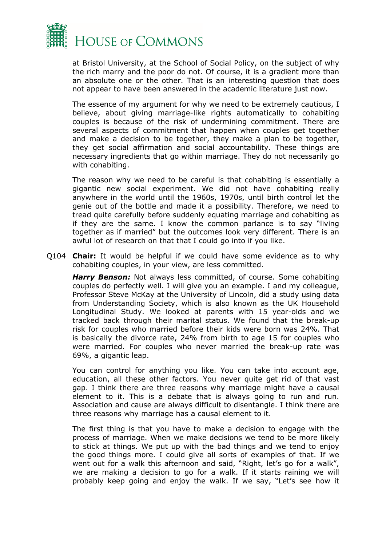

at Bristol University, at the School of Social Policy, on the subject of why the rich marry and the poor do not. Of course, it is a gradient more than an absolute one or the other. That is an interesting question that does not appear to have been answered in the academic literature just now.

The essence of my argument for why we need to be extremely cautious, I believe, about giving marriage-like rights automatically to cohabiting couples is because of the risk of undermining commitment. There are several aspects of commitment that happen when couples get together and make a decision to be together, they make a plan to be together, they get social affirmation and social accountability. These things are necessary ingredients that go within marriage. They do not necessarily go with cohabiting.

The reason why we need to be careful is that cohabiting is essentially a gigantic new social experiment. We did not have cohabiting really anywhere in the world until the 1960s, 1970s, until birth control let the genie out of the bottle and made it a possibility. Therefore, we need to tread quite carefully before suddenly equating marriage and cohabiting as if they are the same. I know the common parlance is to say "living together as if married" but the outcomes look very different. There is an awful lot of research on that that I could go into if you like.

Q104 **Chair:** It would be helpful if we could have some evidence as to why cohabiting couples, in your view, are less committed.

*Harry Benson:* Not always less committed, of course. Some cohabiting couples do perfectly well. I will give you an example. I and my colleague, Professor Steve McKay at the University of Lincoln, did a study using data from Understanding Society, which is also known as the UK Household Longitudinal Study. We looked at parents with 15 year-olds and we tracked back through their marital status. We found that the break-up risk for couples who married before their kids were born was 24%. That is basically the divorce rate, 24% from birth to age 15 for couples who were married. For couples who never married the break-up rate was 69%, a gigantic leap.

You can control for anything you like. You can take into account age, education, all these other factors. You never quite get rid of that vast gap. I think there are three reasons why marriage might have a causal element to it. This is a debate that is always going to run and run. Association and cause are always difficult to disentangle. I think there are three reasons why marriage has a causal element to it.

The first thing is that you have to make a decision to engage with the process of marriage. When we make decisions we tend to be more likely to stick at things. We put up with the bad things and we tend to enjoy the good things more. I could give all sorts of examples of that. If we went out for a walk this afternoon and said, "Right, let's go for a walk", we are making a decision to go for a walk. If it starts raining we will probably keep going and enjoy the walk. If we say, "Let's see how it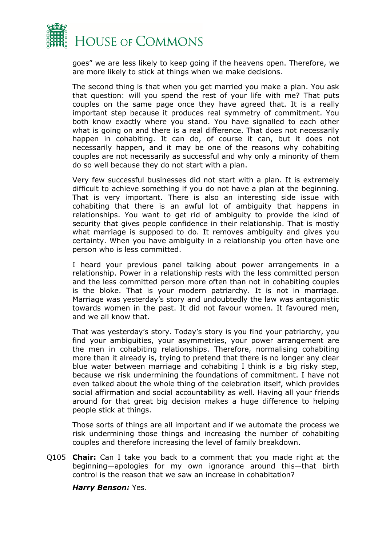

goes" we are less likely to keep going if the heavens open. Therefore, we are more likely to stick at things when we make decisions.

The second thing is that when you get married you make a plan. You ask that question: will you spend the rest of your life with me? That puts couples on the same page once they have agreed that. It is a really important step because it produces real symmetry of commitment. You both know exactly where you stand. You have signalled to each other what is going on and there is a real difference. That does not necessarily happen in cohabiting. It can do, of course it can, but it does not necessarily happen, and it may be one of the reasons why cohabiting couples are not necessarily as successful and why only a minority of them do so well because they do not start with a plan.

Very few successful businesses did not start with a plan. It is extremely difficult to achieve something if you do not have a plan at the beginning. That is very important. There is also an interesting side issue with cohabiting that there is an awful lot of ambiguity that happens in relationships. You want to get rid of ambiguity to provide the kind of security that gives people confidence in their relationship. That is mostly what marriage is supposed to do. It removes ambiguity and gives you certainty. When you have ambiguity in a relationship you often have one person who is less committed.

I heard your previous panel talking about power arrangements in a relationship. Power in a relationship rests with the less committed person and the less committed person more often than not in cohabiting couples is the bloke. That is your modern patriarchy. It is not in marriage. Marriage was yesterday's story and undoubtedly the law was antagonistic towards women in the past. It did not favour women. It favoured men, and we all know that.

That was yesterday's story. Today's story is you find your patriarchy, you find your ambiguities, your asymmetries, your power arrangement are the men in cohabiting relationships. Therefore, normalising cohabiting more than it already is, trying to pretend that there is no longer any clear blue water between marriage and cohabiting I think is a big risky step, because we risk undermining the foundations of commitment. I have not even talked about the whole thing of the celebration itself, which provides social affirmation and social accountability as well. Having all your friends around for that great big decision makes a huge difference to helping people stick at things.

Those sorts of things are all important and if we automate the process we risk undermining those things and increasing the number of cohabiting couples and therefore increasing the level of family breakdown.

Q105 **Chair:** Can I take you back to a comment that you made right at the beginning—apologies for my own ignorance around this—that birth control is the reason that we saw an increase in cohabitation?

*Harry Benson:* Yes.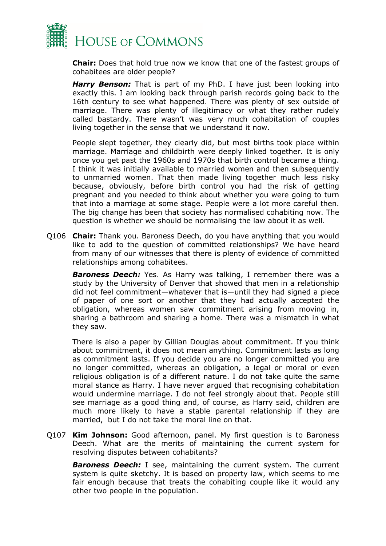

**Chair:** Does that hold true now we know that one of the fastest groups of cohabitees are older people?

*Harry Benson:* That is part of my PhD. I have just been looking into exactly this. I am looking back through parish records going back to the 16th century to see what happened. There was plenty of sex outside of marriage. There was plenty of illegitimacy or what they rather rudely called bastardy. There wasn't was very much cohabitation of couples living together in the sense that we understand it now.

People slept together, they clearly did, but most births took place within marriage. Marriage and childbirth were deeply linked together. It is only once you get past the 1960s and 1970s that birth control became a thing. I think it was initially available to married women and then subsequently to unmarried women. That then made living together much less risky because, obviously, before birth control you had the risk of getting pregnant and you needed to think about whether you were going to turn that into a marriage at some stage. People were a lot more careful then. The big change has been that society has normalised cohabiting now. The question is whether we should be normalising the law about it as well.

Q106 **Chair:** Thank you. Baroness Deech, do you have anything that you would like to add to the question of committed relationships? We have heard from many of our witnesses that there is plenty of evidence of committed relationships among cohabitees.

**Baroness Deech:** Yes. As Harry was talking, I remember there was a study by the University of Denver that showed that men in a relationship did not feel commitment—whatever that is—until they had signed a piece of paper of one sort or another that they had actually accepted the obligation, whereas women saw commitment arising from moving in, sharing a bathroom and sharing a home. There was a mismatch in what they saw.

There is also a paper by Gillian Douglas about commitment. If you think about commitment, it does not mean anything. Commitment lasts as long as commitment lasts. If you decide you are no longer committed you are no longer committed, whereas an obligation, a legal or moral or even religious obligation is of a different nature. I do not take quite the same moral stance as Harry. I have never argued that recognising cohabitation would undermine marriage. I do not feel strongly about that. People still see marriage as a good thing and, of course, as Harry said, children are much more likely to have a stable parental relationship if they are married, but I do not take the moral line on that.

Q107 **Kim Johnson:** Good afternoon, panel. My first question is to Baroness Deech. What are the merits of maintaining the current system for resolving disputes between cohabitants?

*Baroness Deech:* I see, maintaining the current system. The current system is quite sketchy. It is based on property law, which seems to me fair enough because that treats the cohabiting couple like it would any other two people in the population.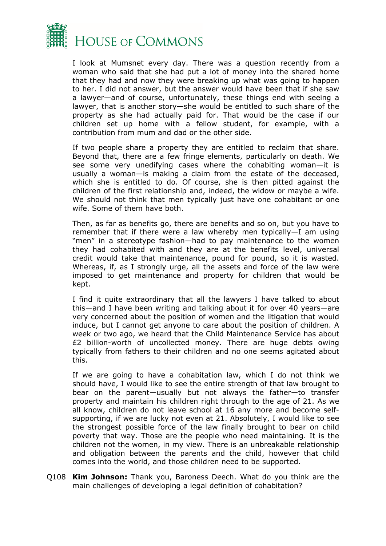

I look at Mumsnet every day. There was a question recently from a woman who said that she had put a lot of money into the shared home that they had and now they were breaking up what was going to happen to her. I did not answer, but the answer would have been that if she saw a lawyer—and of course, unfortunately, these things end with seeing a lawyer, that is another story—she would be entitled to such share of the property as she had actually paid for. That would be the case if our children set up home with a fellow student, for example, with a contribution from mum and dad or the other side.

If two people share a property they are entitled to reclaim that share. Beyond that, there are a few fringe elements, particularly on death. We see some very unedifying cases where the cohabiting woman—it is usually a woman—is making a claim from the estate of the deceased, which she is entitled to do. Of course, she is then pitted against the children of the first relationship and, indeed, the widow or maybe a wife. We should not think that men typically just have one cohabitant or one wife. Some of them have both.

Then, as far as benefits go, there are benefits and so on, but you have to remember that if there were a law whereby men typically—I am using "men" in a stereotype fashion—had to pay maintenance to the women they had cohabited with and they are at the benefits level, universal credit would take that maintenance, pound for pound, so it is wasted. Whereas, if, as I strongly urge, all the assets and force of the law were imposed to get maintenance and property for children that would be kept.

I find it quite extraordinary that all the lawyers I have talked to about this—and I have been writing and talking about it for over 40 years—are very concerned about the position of women and the litigation that would induce, but I cannot get anyone to care about the position of children. A week or two ago, we heard that the Child Maintenance Service has about £2 billion-worth of uncollected money. There are huge debts owing typically from fathers to their children and no one seems agitated about this.

If we are going to have a cohabitation law, which I do not think we should have, I would like to see the entire strength of that law brought to bear on the parent—usually but not always the father—to transfer property and maintain his children right through to the age of 21. As we all know, children do not leave school at 16 any more and become selfsupporting, if we are lucky not even at 21. Absolutely, I would like to see the strongest possible force of the law finally brought to bear on child poverty that way. Those are the people who need maintaining. It is the children not the women, in my view. There is an unbreakable relationship and obligation between the parents and the child, however that child comes into the world, and those children need to be supported.

Q108 **Kim Johnson:** Thank you, Baroness Deech. What do you think are the main challenges of developing a legal definition of cohabitation?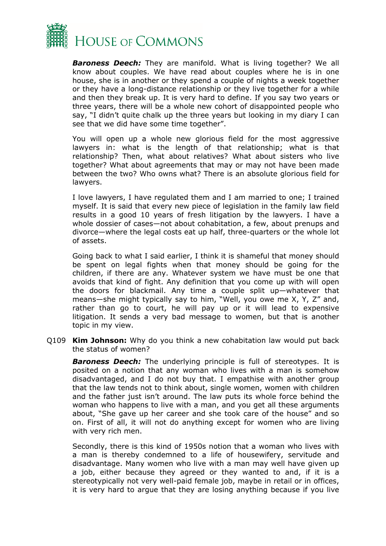

*Baroness Deech:* They are manifold. What is living together? We all know about couples. We have read about couples where he is in one house, she is in another or they spend a couple of nights a week together or they have a long-distance relationship or they live together for a while and then they break up. It is very hard to define. If you say two years or three years, there will be a whole new cohort of disappointed people who say, "I didn't quite chalk up the three years but looking in my diary I can see that we did have some time together".

You will open up a whole new glorious field for the most aggressive lawyers in: what is the length of that relationship; what is that relationship? Then, what about relatives? What about sisters who live together? What about agreements that may or may not have been made between the two? Who owns what? There is an absolute glorious field for lawyers.

I love lawyers, I have regulated them and I am married to one; I trained myself. It is said that every new piece of legislation in the family law field results in a good 10 years of fresh litigation by the lawyers. I have a whole dossier of cases—not about cohabitation, a few, about prenups and divorce—where the legal costs eat up half, three-quarters or the whole lot of assets.

Going back to what I said earlier, I think it is shameful that money should be spent on legal fights when that money should be going for the children, if there are any. Whatever system we have must be one that avoids that kind of fight. Any definition that you come up with will open the doors for blackmail. Any time a couple split up—whatever that means—she might typically say to him, "Well, you owe me X, Y, Z" and, rather than go to court, he will pay up or it will lead to expensive litigation. It sends a very bad message to women, but that is another topic in my view.

Q109 **Kim Johnson:** Why do you think a new cohabitation law would put back the status of women?

*Baroness Deech:* The underlying principle is full of stereotypes. It is posited on a notion that any woman who lives with a man is somehow disadvantaged, and I do not buy that. I empathise with another group that the law tends not to think about, single women, women with children and the father just isn't around. The law puts its whole force behind the woman who happens to live with a man, and you get all these arguments about, "She gave up her career and she took care of the house" and so on. First of all, it will not do anything except for women who are living with very rich men.

Secondly, there is this kind of 1950s notion that a woman who lives with a man is thereby condemned to a life of housewifery, servitude and disadvantage. Many women who live with a man may well have given up a job, either because they agreed or they wanted to and, if it is a stereotypically not very well-paid female job, maybe in retail or in offices, it is very hard to argue that they are losing anything because if you live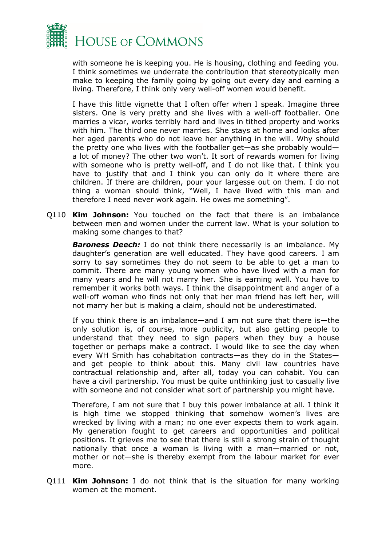

with someone he is keeping you. He is housing, clothing and feeding you. I think sometimes we underrate the contribution that stereotypically men make to keeping the family going by going out every day and earning a living. Therefore, I think only very well-off women would benefit.

I have this little vignette that I often offer when I speak. Imagine three sisters. One is very pretty and she lives with a well-off footballer. One marries a vicar, works terribly hard and lives in tithed property and works with him. The third one never marries. She stays at home and looks after her aged parents who do not leave her anything in the will. Why should the pretty one who lives with the footballer get—as she probably would a lot of money? The other two won't. It sort of rewards women for living with someone who is pretty well-off, and I do not like that. I think you have to justify that and I think you can only do it where there are children. If there are children, pour your largesse out on them. I do not thing a woman should think, "Well, I have lived with this man and therefore I need never work again. He owes me something".

Q110 **Kim Johnson:** You touched on the fact that there is an imbalance between men and women under the current law. What is your solution to making some changes to that?

**Baroness Deech:** I do not think there necessarily is an imbalance. My daughter's generation are well educated. They have good careers. I am sorry to say sometimes they do not seem to be able to get a man to commit. There are many young women who have lived with a man for many years and he will not marry her. She is earning well. You have to remember it works both ways. I think the disappointment and anger of a well-off woman who finds not only that her man friend has left her, will not marry her but is making a claim, should not be underestimated.

If you think there is an imbalance—and I am not sure that there is—the only solution is, of course, more publicity, but also getting people to understand that they need to sign papers when they buy a house together or perhaps make a contract. I would like to see the day when every WH Smith has cohabitation contracts—as they do in the States and get people to think about this. Many civil law countries have contractual relationship and, after all, today you can cohabit. You can have a civil partnership. You must be quite unthinking just to casually live with someone and not consider what sort of partnership you might have.

Therefore, I am not sure that I buy this power imbalance at all. I think it is high time we stopped thinking that somehow women's lives are wrecked by living with a man; no one ever expects them to work again. My generation fought to get careers and opportunities and political positions. It grieves me to see that there is still a strong strain of thought nationally that once a woman is living with a man—married or not, mother or not—she is thereby exempt from the labour market for ever more.

Q111 **Kim Johnson:** I do not think that is the situation for many working women at the moment.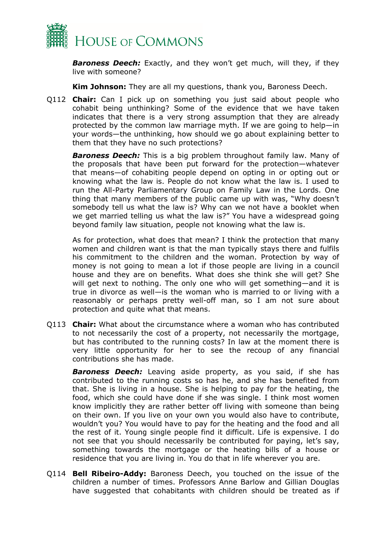

*Baroness Deech:* Exactly, and they won't get much, will they, if they live with someone?

**Kim Johnson:** They are all my questions, thank you, Baroness Deech.

Q112 **Chair:** Can I pick up on something you just said about people who cohabit being unthinking? Some of the evidence that we have taken indicates that there is a very strong assumption that they are already protected by the common law marriage myth. If we are going to help—in your words—the unthinking, how should we go about explaining better to them that they have no such protections?

*Baroness Deech:* This is a big problem throughout family law. Many of the proposals that have been put forward for the protection—whatever that means—of cohabiting people depend on opting in or opting out or knowing what the law is. People do not know what the law is. I used to run the All-Party Parliamentary Group on Family Law in the Lords. One thing that many members of the public came up with was, "Why doesn't somebody tell us what the law is? Why can we not have a booklet when we get married telling us what the law is?" You have a widespread going beyond family law situation, people not knowing what the law is.

As for protection, what does that mean? I think the protection that many women and children want is that the man typically stays there and fulfils his commitment to the children and the woman. Protection by way of money is not going to mean a lot if those people are living in a council house and they are on benefits. What does she think she will get? She will get next to nothing. The only one who will get something—and it is true in divorce as well—is the woman who is married to or living with a reasonably or perhaps pretty well-off man, so I am not sure about protection and quite what that means.

Q113 **Chair:** What about the circumstance where a woman who has contributed to not necessarily the cost of a property, not necessarily the mortgage, but has contributed to the running costs? In law at the moment there is very little opportunity for her to see the recoup of any financial contributions she has made.

*Baroness Deech:* Leaving aside property, as you said, if she has contributed to the running costs so has he, and she has benefited from that. She is living in a house. She is helping to pay for the heating, the food, which she could have done if she was single. I think most women know implicitly they are rather better off living with someone than being on their own. If you live on your own you would also have to contribute, wouldn't you? You would have to pay for the heating and the food and all the rest of it. Young single people find it difficult. Life is expensive. I do not see that you should necessarily be contributed for paying, let's say, something towards the mortgage or the heating bills of a house or residence that you are living in. You do that in life wherever you are.

Q114 **Bell Ribeiro-Addy:** Baroness Deech, you touched on the issue of the children a number of times. Professors Anne Barlow and Gillian Douglas have suggested that cohabitants with children should be treated as if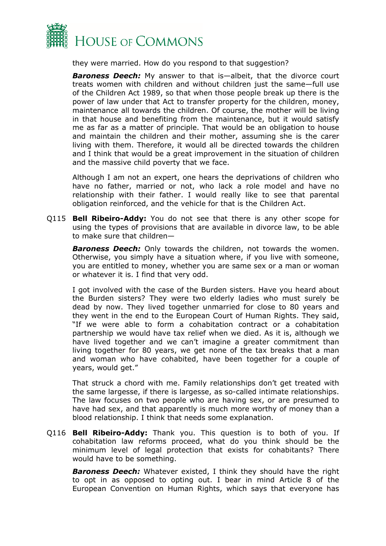

they were married. How do you respond to that suggestion?

*Baroness Deech:* My answer to that is—albeit, that the divorce court treats women with children and without children just the same—full use of the Children Act 1989, so that when those people break up there is the power of law under that Act to transfer property for the children, money, maintenance all towards the children. Of course, the mother will be living in that house and benefiting from the maintenance, but it would satisfy me as far as a matter of principle. That would be an obligation to house and maintain the children and their mother, assuming she is the carer living with them. Therefore, it would all be directed towards the children and I think that would be a great improvement in the situation of children and the massive child poverty that we face.

Although I am not an expert, one hears the deprivations of children who have no father, married or not, who lack a role model and have no relationship with their father. I would really like to see that parental obligation reinforced, and the vehicle for that is the Children Act.

Q115 **Bell Ribeiro-Addy:** You do not see that there is any other scope for using the types of provisions that are available in divorce law, to be able to make sure that children—

**Baroness Deech:** Only towards the children, not towards the women. Otherwise, you simply have a situation where, if you live with someone, you are entitled to money, whether you are same sex or a man or woman or whatever it is. I find that very odd.

I got involved with the case of the Burden sisters. Have you heard about the Burden sisters? They were two elderly ladies who must surely be dead by now. They lived together unmarried for close to 80 years and they went in the end to the European Court of Human Rights. They said, "If we were able to form a cohabitation contract or a cohabitation partnership we would have tax relief when we died. As it is, although we have lived together and we can't imagine a greater commitment than living together for 80 years, we get none of the tax breaks that a man and woman who have cohabited, have been together for a couple of years, would get."

That struck a chord with me. Family relationships don't get treated with the same largesse, if there is largesse, as so-called intimate relationships. The law focuses on two people who are having sex, or are presumed to have had sex, and that apparently is much more worthy of money than a blood relationship. I think that needs some explanation.

Q116 **Bell Ribeiro-Addy:** Thank you. This question is to both of you. If cohabitation law reforms proceed, what do you think should be the minimum level of legal protection that exists for cohabitants? There would have to be something.

*Baroness Deech:* Whatever existed, I think they should have the right to opt in as opposed to opting out. I bear in mind Article 8 of the European Convention on Human Rights, which says that everyone has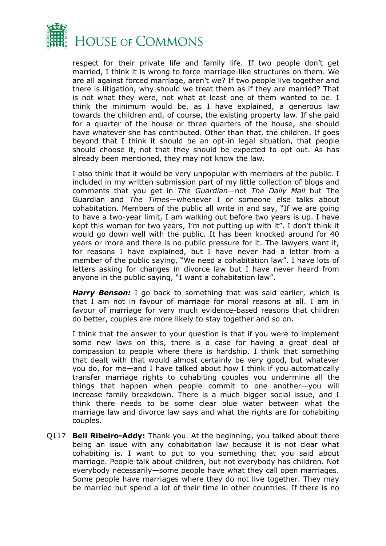

respect for their private life and family life. If two people don't get married, I think it is wrong to force marriage-like structures on them. We are all against forced marriage, aren't we? If two people live together and there is litigation, why should we treat them as if they are married? That is not what they were, not what at least one of them wanted to be. I think the minimum would be, as I have explained, a generous law towards the children and, of course, the existing property law. If she paid for a quarter of the house or three quarters of the house, she should have whatever she has contributed. Other than that, the children. If goes beyond that I think it should be an opt-in legal situation, that people should choose it, not that they should be expected to opt out. As has already been mentioned, they may not know the law.

I also think that it would be very unpopular with members of the public. I included in my written submission part of my little collection of blogs and comments that you get in *The Guardian—*not *The Daily Mail* but The Guardian and *The Times*—whenever I or someone else talks about cohabitation. Members of the public all write in and say, "If we are going to have a two-year limit, I am walking out before two years is up. I have kept this woman for two years, I'm not putting up with it". I don't think it would go down well with the public. It has been knocked around for 40 years or more and there is no public pressure for it. The lawyers want it, for reasons I have explained, but I have never had a letter from a member of the public saying, "We need a cohabitation law". I have lots of letters asking for changes in divorce law but I have never heard from anyone in the public saying, "I want a cohabitation law".

*Harry Benson:* I go back to something that was said earlier, which is that I am not in favour of marriage for moral reasons at all. I am in favour of marriage for very much evidence-based reasons that children do better, couples are more likely to stay together and so on.

I think that the answer to your question is that if you were to implement some new laws on this, there is a case for having a great deal of compassion to people where there is hardship. I think that something that dealt with that would almost certainly be very good, but whatever you do, for me—and I have talked about how I think if you automatically transfer marriage rights to cohabiting couples you undermine all the things that happen when people commit to one another—you will increase family breakdown. There is a much bigger social issue, and I think there needs to be some clear blue water between what the marriage law and divorce law says and what the rights are for cohabiting couples.

Q117 **Bell Ribeiro-Addy:** Thank you. At the beginning, you talked about there being an issue with any cohabitation law because it is not clear what cohabiting is. I want to put to you something that you said about marriage. People talk about children, but not everybody has children. Not everybody necessarily—some people have what they call open marriages. Some people have marriages where they do not live together. They may be married but spend a lot of their time in other countries. If there is no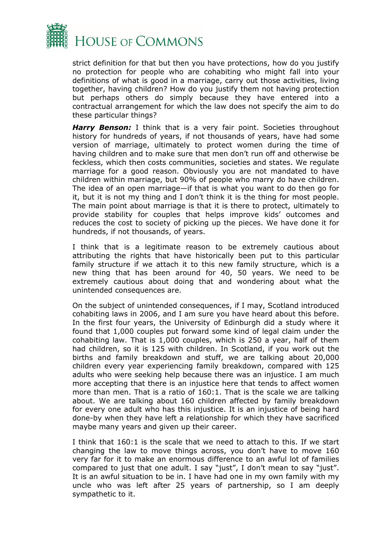

strict definition for that but then you have protections, how do you justify no protection for people who are cohabiting who might fall into your definitions of what is good in a marriage, carry out those activities, living together, having children? How do you justify them not having protection but perhaps others do simply because they have entered into a contractual arrangement for which the law does not specify the aim to do these particular things?

**Harry Benson:** I think that is a very fair point. Societies throughout history for hundreds of years, if not thousands of years, have had some version of marriage, ultimately to protect women during the time of having children and to make sure that men don't run off and otherwise be feckless, which then costs communities, societies and states. We regulate marriage for a good reason. Obviously you are not mandated to have children within marriage, but 90% of people who marry do have children. The idea of an open marriage—if that is what you want to do then go for it, but it is not my thing and I don't think it is the thing for most people. The main point about marriage is that it is there to protect, ultimately to provide stability for couples that helps improve kids' outcomes and reduces the cost to society of picking up the pieces. We have done it for hundreds, if not thousands, of years.

I think that is a legitimate reason to be extremely cautious about attributing the rights that have historically been put to this particular family structure if we attach it to this new family structure, which is a new thing that has been around for 40, 50 years. We need to be extremely cautious about doing that and wondering about what the unintended consequences are.

On the subject of unintended consequences, if I may, Scotland introduced cohabiting laws in 2006, and I am sure you have heard about this before. In the first four years, the University of Edinburgh did a study where it found that 1,000 couples put forward some kind of legal claim under the cohabiting law. That is 1,000 couples, which is 250 a year, half of them had children, so it is 125 with children. In Scotland, if you work out the births and family breakdown and stuff, we are talking about 20,000 children every year experiencing family breakdown, compared with 125 adults who were seeking help because there was an injustice. I am much more accepting that there is an injustice here that tends to affect women more than men. That is a ratio of 160:1. That is the scale we are talking about. We are talking about 160 children affected by family breakdown for every one adult who has this injustice. It is an injustice of being hard done-by when they have left a relationship for which they have sacrificed maybe many years and given up their career.

I think that 160:1 is the scale that we need to attach to this. If we start changing the law to move things across, you don't have to move 160 very far for it to make an enormous difference to an awful lot of families compared to just that one adult. I say "just", I don't mean to say "just". It is an awful situation to be in. I have had one in my own family with my uncle who was left after 25 years of partnership, so I am deeply sympathetic to it.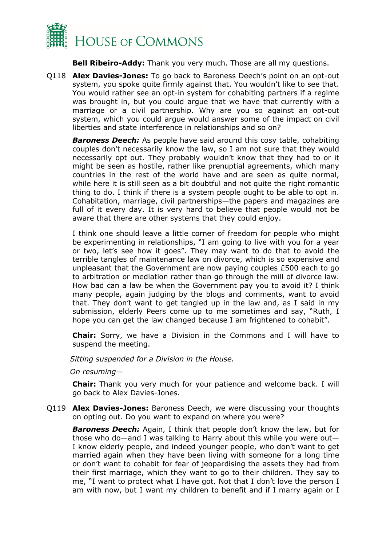

**Bell Ribeiro-Addy:** Thank you very much. Those are all my questions.

Q118 **Alex Davies-Jones:** To go back to Baroness Deech's point on an opt-out system, you spoke quite firmly against that. You wouldn't like to see that. You would rather see an opt-in system for cohabiting partners if a regime was brought in, but you could argue that we have that currently with a marriage or a civil partnership. Why are you so against an opt-out system, which you could argue would answer some of the impact on civil liberties and state interference in relationships and so on?

*Baroness Deech:* As people have said around this cosy table, cohabiting couples don't necessarily know the law, so I am not sure that they would necessarily opt out. They probably wouldn't know that they had to or it might be seen as hostile, rather like prenuptial agreements, which many countries in the rest of the world have and are seen as quite normal, while here it is still seen as a bit doubtful and not quite the right romantic thing to do. I think if there is a system people ought to be able to opt in. Cohabitation, marriage, civil partnerships—the papers and magazines are full of it every day. It is very hard to believe that people would not be aware that there are other systems that they could enjoy.

I think one should leave a little corner of freedom for people who might be experimenting in relationships, "I am going to live with you for a year or two, let's see how it goes". They may want to do that to avoid the terrible tangles of maintenance law on divorce, which is so expensive and unpleasant that the Government are now paying couples £500 each to go to arbitration or mediation rather than go through the mill of divorce law. How bad can a law be when the Government pay you to avoid it? I think many people, again judging by the blogs and comments, want to avoid that. They don't want to get tangled up in the law and, as I said in my submission, elderly Peers come up to me sometimes and say, "Ruth, I hope you can get the law changed because I am frightened to cohabit".

**Chair:** Sorry, we have a Division in the Commons and I will have to suspend the meeting.

*Sitting suspended for a Division in the House.*

*On resuming—*

**Chair:** Thank you very much for your patience and welcome back. I will go back to Alex Davies-Jones.

Q119 **Alex Davies-Jones:** Baroness Deech, we were discussing your thoughts on opting out. Do you want to expand on where you were?

*Baroness Deech:* Again, I think that people don't know the law, but for those who do—and I was talking to Harry about this while you were out— I know elderly people, and indeed younger people, who don't want to get married again when they have been living with someone for a long time or don't want to cohabit for fear of jeopardising the assets they had from their first marriage, which they want to go to their children. They say to me, "I want to protect what I have got. Not that I don't love the person I am with now, but I want my children to benefit and if I marry again or I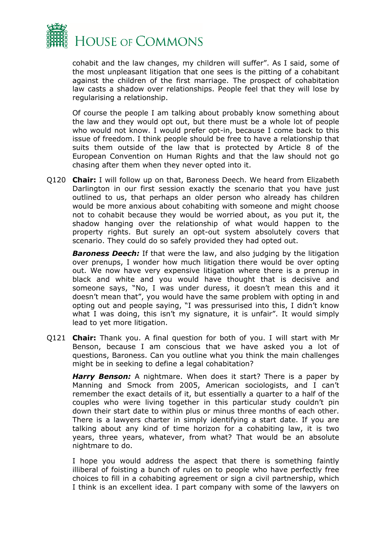

cohabit and the law changes, my children will suffer". As I said, some of the most unpleasant litigation that one sees is the pitting of a cohabitant against the children of the first marriage. The prospect of cohabitation law casts a shadow over relationships. People feel that they will lose by regularising a relationship.

Of course the people I am talking about probably know something about the law and they would opt out, but there must be a whole lot of people who would not know. I would prefer opt-in, because I come back to this issue of freedom. I think people should be free to have a relationship that suits them outside of the law that is protected by Article 8 of the European Convention on Human Rights and that the law should not go chasing after them when they never opted into it.

Q120 **Chair:** I will follow up on that, Baroness Deech. We heard from Elizabeth Darlington in our first session exactly the scenario that you have just outlined to us, that perhaps an older person who already has children would be more anxious about cohabiting with someone and might choose not to cohabit because they would be worried about, as you put it, the shadow hanging over the relationship of what would happen to the property rights. But surely an opt-out system absolutely covers that scenario. They could do so safely provided they had opted out.

*Baroness Deech:* If that were the law, and also judging by the litigation over prenups, I wonder how much litigation there would be over opting out. We now have very expensive litigation where there is a prenup in black and white and you would have thought that is decisive and someone says, "No, I was under duress, it doesn't mean this and it doesn't mean that", you would have the same problem with opting in and opting out and people saying, "I was pressurised into this, I didn't know what I was doing, this isn't my signature, it is unfair". It would simply lead to yet more litigation.

Q121 **Chair:** Thank you. A final question for both of you. I will start with Mr Benson, because I am conscious that we have asked you a lot of questions, Baroness. Can you outline what you think the main challenges might be in seeking to define a legal cohabitation?

*Harry Benson:* A nightmare. When does it start? There is a paper by Manning and Smock from 2005, American sociologists, and I can't remember the exact details of it, but essentially a quarter to a half of the couples who were living together in this particular study couldn't pin down their start date to within plus or minus three months of each other. There is a lawyers charter in simply identifying a start date. If you are talking about any kind of time horizon for a cohabiting law, it is two years, three years, whatever, from what? That would be an absolute nightmare to do.

I hope you would address the aspect that there is something faintly illiberal of foisting a bunch of rules on to people who have perfectly free choices to fill in a cohabiting agreement or sign a civil partnership, which I think is an excellent idea. I part company with some of the lawyers on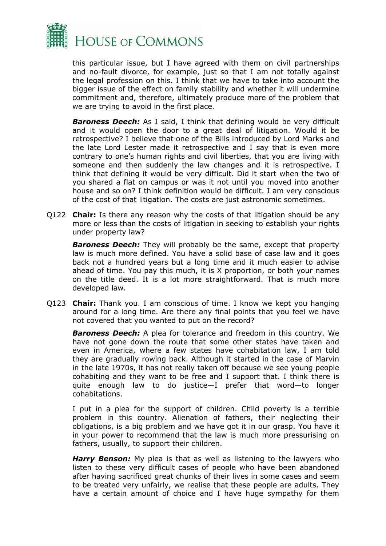

this particular issue, but I have agreed with them on civil partnerships and no-fault divorce, for example, just so that I am not totally against the legal profession on this. I think that we have to take into account the bigger issue of the effect on family stability and whether it will undermine commitment and, therefore, ultimately produce more of the problem that we are trying to avoid in the first place.

*Baroness Deech:* As I said, I think that defining would be very difficult and it would open the door to a great deal of litigation. Would it be retrospective? I believe that one of the Bills introduced by Lord Marks and the late Lord Lester made it retrospective and I say that is even more contrary to one's human rights and civil liberties, that you are living with someone and then suddenly the law changes and it is retrospective. I think that defining it would be very difficult. Did it start when the two of you shared a flat on campus or was it not until you moved into another house and so on? I think definition would be difficult. I am very conscious of the cost of that litigation. The costs are just astronomic sometimes.

Q122 **Chair:** Is there any reason why the costs of that litigation should be any more or less than the costs of litigation in seeking to establish your rights under property law?

*Baroness Deech:* They will probably be the same, except that property law is much more defined. You have a solid base of case law and it goes back not a hundred years but a long time and it much easier to advise ahead of time. You pay this much, it is X proportion, or both your names on the title deed. It is a lot more straightforward. That is much more developed law.

Q123 **Chair:** Thank you. I am conscious of time. I know we kept you hanging around for a long time. Are there any final points that you feel we have not covered that you wanted to put on the record?

*Baroness Deech:* A plea for tolerance and freedom in this country. We have not gone down the route that some other states have taken and even in America, where a few states have cohabitation law, I am told they are gradually rowing back. Although it started in the case of Marvin in the late 1970s, it has not really taken off because we see young people cohabiting and they want to be free and I support that. I think there is quite enough law to do justice—I prefer that word—to longer cohabitations.

I put in a plea for the support of children. Child poverty is a terrible problem in this country. Alienation of fathers, their neglecting their obligations, is a big problem and we have got it in our grasp. You have it in your power to recommend that the law is much more pressurising on fathers, usually, to support their children.

**Harry Benson:** My plea is that as well as listening to the lawyers who listen to these very difficult cases of people who have been abandoned after having sacrificed great chunks of their lives in some cases and seem to be treated very unfairly, we realise that these people are adults. They have a certain amount of choice and I have huge sympathy for them